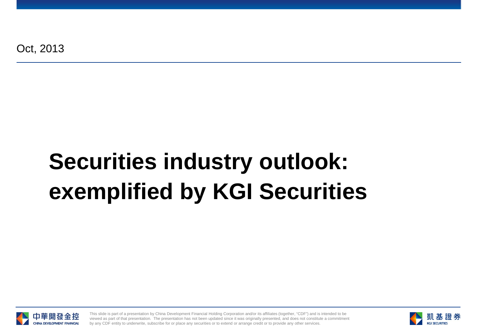Oct, 2013

# **Securities industry outlook: exemplified by KGI Securities**



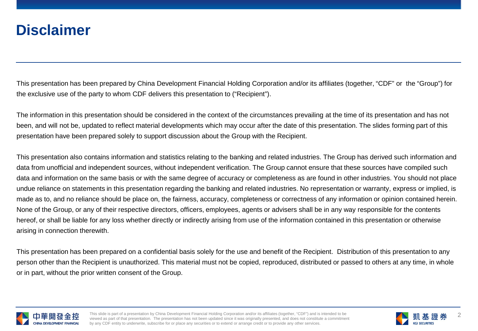### **Disclaimer**

This presentation has been prepared by China Development Financial Holding Corporation and/or its affiliates (together, "CDF" or the "Group") for the exclusive use of the party to whom CDF delivers this presentation to ("Recipient").

The information in this presentation should be considered in the context of the circumstances prevailing at the time of its presentation and has not been, and will not be, updated to reflect material developments which may occur after the date of this presentation. The slides forming part of this presentation have been prepared solely to support discussion about the Group with the Recipient.

This presentation also contains information and statistics relating to the banking and related industries. The Group has derived such information and data from unofficial and independent sources, without independent verification. The Group cannot ensure that these sources have compiled such data and information on the same basis or with the same degree of accuracy or completeness as are found in other industries. You should not place undue reliance on statements in this presentation regarding the banking and related industries. No representation or warranty, express or implied, is made as to, and no reliance should be place on, the fairness, accuracy, completeness or correctness of any information or opinion contained herein. None of the Group, or any of their respective directors, officers, employees, agents or advisers shall be in any way responsible for the contents hereof, or shall be liable for any loss whether directly or indirectly arising from use of the information contained in this presentation or otherwise arising in connection therewith.

This presentation has been prepared on a confidential basis solely for the use and benefit of the Recipient. Distribution of this presentation to any person other than the Recipient is unauthorized. This material must not be copied, reproduced, distributed or passed to others at any time, in whole or in part, without the prior written consent of the Group.



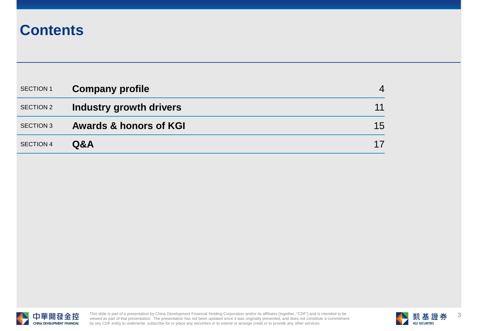### **Contents**

| <b>SECTION 1</b> | <b>Company profile</b>            | $\overline{4}$ |
|------------------|-----------------------------------|----------------|
| <b>SECTION 2</b> | Industry growth drivers           | 11             |
| <b>SECTION 3</b> | <b>Awards &amp; honors of KGI</b> | 15             |
| <b>SECTION 4</b> | Q&A                               | 17             |



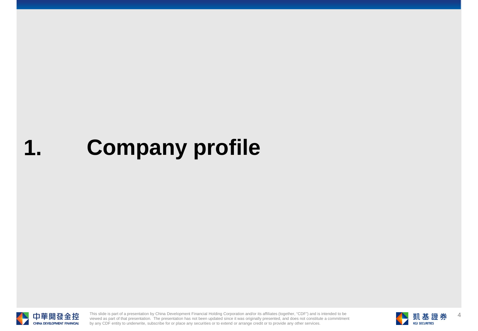# **1. Company profile**



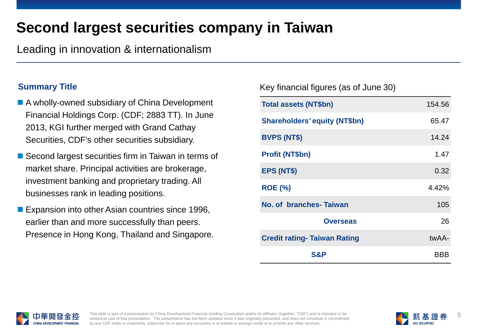### **Second largest securities company in Taiwan**

#### Leading in innovation & internationalism

#### **Summary Title**

- A wholly-owned subsidiary of China Development Financial Holdings Corp. (CDF; 2883 TT). In June 2013, KGI further merged with Grand Cathay Securities, CDF's other securities subsidiary.
- Second largest securities firm in Taiwan in terms of market share. Principal activities are brokerage, investment banking and proprietary trading. All businesses rank in leading positions.
- **Expansion into other Asian countries since 1996,** earlier than and more successfully than peers. Presence in Hong Kong, Thailand and Singapore.

Key financial figures (as of June 30)

| <b>Total assets (NT\$bn)</b>         | 154.56 |
|--------------------------------------|--------|
| <b>Shareholders' equity (NT\$bn)</b> | 65.47  |
| <b>BVPS (NT\$)</b>                   | 14.24  |
| <b>Profit (NT\$bn)</b>               | 1.47   |
| EPS (NT\$)                           | 0.32   |
| <b>ROE (%)</b>                       | 4.42%  |
| No. of branches-Taiwan               | 105    |
| <b>Overseas</b>                      | 26     |
| <b>Credit rating- Taiwan Rating</b>  | twAA-  |
| <b>S&amp;P</b>                       | BBB    |



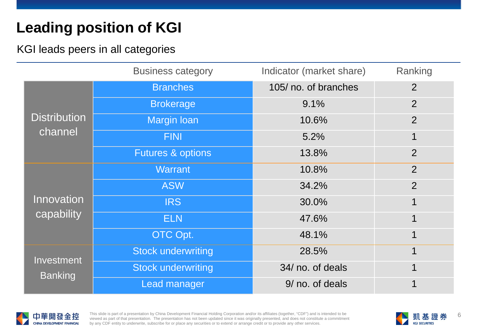## **Leading position of KGI**

### KGI leads peers in all categories

|                                | <b>Business category</b>     | Indicator (market share) | Ranking        |
|--------------------------------|------------------------------|--------------------------|----------------|
| <b>Distribution</b><br>channel | <b>Branches</b>              | 105/ no. of branches     | 2              |
|                                | <b>Brokerage</b>             | 9.1%                     | $\overline{2}$ |
|                                | <b>Margin loan</b>           | 10.6%                    | $\overline{2}$ |
|                                | <b>FINI</b>                  | 5.2%                     | 1              |
|                                | <b>Futures &amp; options</b> | 13.8%                    | $\overline{2}$ |
| Innovation<br>capability       | <b>Warrant</b>               | 10.8%                    | $\overline{2}$ |
|                                | <b>ASW</b>                   | 34.2%                    | $\overline{2}$ |
|                                | <b>IRS</b>                   | 30.0%                    | 1              |
|                                | <b>ELN</b>                   | 47.6%                    | 1              |
|                                | OTC Opt.                     | 48.1%                    | 1              |
| Investment<br><b>Banking</b>   | <b>Stock underwriting</b>    | 28.5%                    | 1              |
|                                | <b>Stock underwriting</b>    | 34/ no. of deals         | 1              |
|                                | Lead manager                 | 9/ no. of deals          |                |



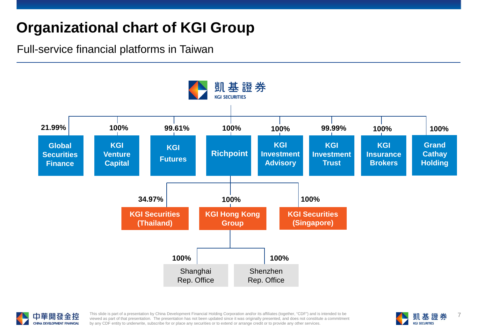## **Organizational chart of KGI Group**

Full-service financial platforms in Taiwan





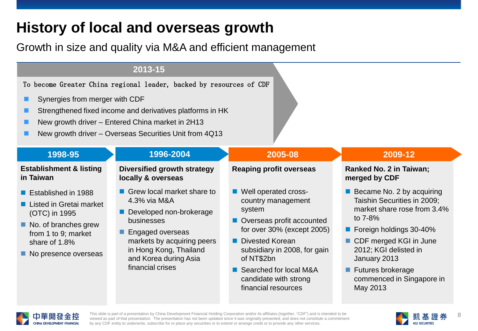### **History of local and overseas growth**

### Growth in size and quality via M&A and efficient management

#### **2013-15**

#### To become Greater China regional leader, backed by resources of CDF

- Synergies from merger with CDF
- Strengthened fixed income and derivatives platforms in HK
- New growth driver Entered China market in 2H13
- New growth driver Overseas Securities Unit from 4Q13

#### **Establishment & listing in Taiwan** ■ Established in 1988 ■ Listed in Gretai market (OTC) in 1995 **Diversified growth strategy locally & overseas**  ■ Grew local market share to 4.3% via M&A Developed non-brokerage businesses **Reaping profit overseas** ■ Well operated crosscountry management system ■ Overseas profit accounted **Ranked No. 2 in Taiwan; merged by CDF** Became No. 2 by acquiring Taishin Securities in 2009; to 7-8% **1998-95 1996-2004 2005-08 2009-12**

- No. of branches grew from 1 to 9; market share of 1.8%
- No presence overseas
- **Engaged overseas** markets by acquiring peers in Hong Kong, Thailand and Korea during Asia financial crises
- for over 30% (except 2005)
- **Divested Korean** subsidiary in 2008, for gain of NT\$2bn
- Searched for local M&A candidate with strong financial resources
- market share rose from 3.4%
- **Foreign holdings 30-40%**
- CDF merged KGI in June 2012; KGI delisted in January 2013
- **Futures brokerage** commenced in Singapore in May 2013



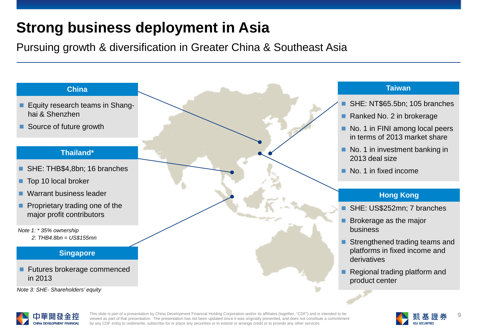## **Strong business deployment in Asia**

Pursuing growth & diversification in Greater China & Southeast Asia





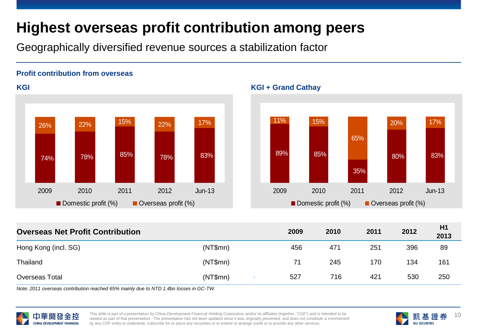### **Highest overseas profit contribution among peers**

Geographically diversified revenue sources a stabilization factor

#### **Profit contribution from overseas**





| <b>Overseas Net Profit Contribution</b> |          |     | 2010 | 2011 | 2012 | H1<br>2013 |
|-----------------------------------------|----------|-----|------|------|------|------------|
| Hong Kong (incl. SG)                    | (NT\$mn) | 456 | 471  | 251  | 396  | 89         |
| Thailand                                | (NT\$mn) | 71  | 245  | 170  | 134  | 161        |
| Overseas Total                          | (NT\$mn) | 527 | 716  | 421  | 530  | 250        |

*Note: 2011 overseas contribution reached 65% mainly due to NTD 1.4bn losses in GC-TW.*



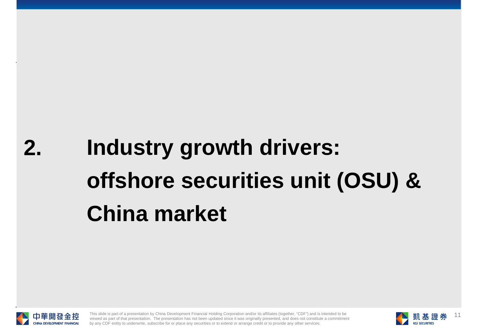## **Industry growth drivers: offshore securities unit (OSU) & China market 2.**



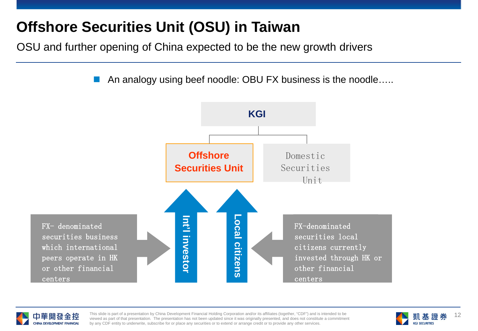## **Offshore Securities Unit (OSU) in Taiwan**

OSU and further opening of China expected to be the new growth drivers

An analogy using beef noodle: OBU FX business is the noodle…..





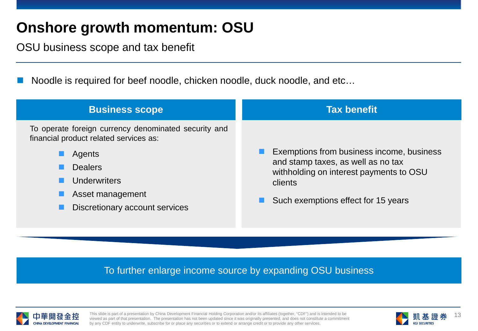### **Onshore growth momentum: OSU**

OSU business scope and tax benefit

Noodle is required for beef noodle, chicken noodle, duck noodle, and etc…

| <b>Business scope</b>                                                                                                                                                                            | <b>Tax benefit</b>                                                                                                                                                           |
|--------------------------------------------------------------------------------------------------------------------------------------------------------------------------------------------------|------------------------------------------------------------------------------------------------------------------------------------------------------------------------------|
| To operate foreign currency denominated security and<br>financial product related services as:<br>Agents<br><b>Dealers</b><br>Underwriters<br>Asset management<br>Discretionary account services | Exemptions from business income, business<br>and stamp taxes, as well as no tax<br>withholding on interest payments to OSU<br>clients<br>Such exemptions effect for 15 years |

#### To further enlarge income source by expanding OSU business



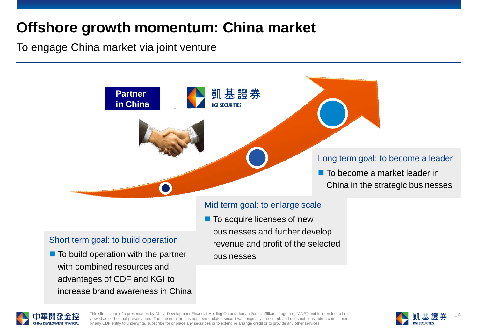### **Offshore growth momentum: China market**

To engage China market via joint venture





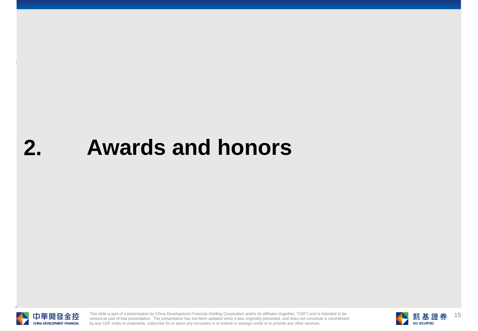## **2. Awards and honors**



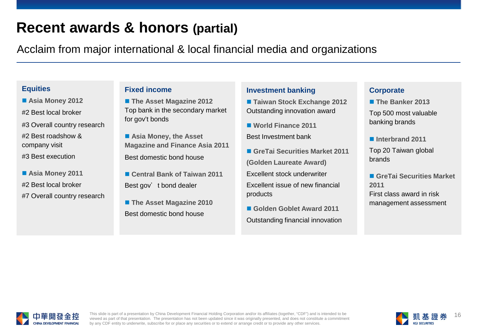### **Recent awards & honors (partial)**

#### Acclaim from major international & local financial media and organizations

#### **Equities**

- **Asia Money 2012**
- #2 Best local broker
- #3 Overall country research #2 Best roadshow &
- company visit #3 Best execution
- **Asia Money 2011** #2 Best local broker #7 Overall country research

#### **Fixed income**

- The Asset Magazine 2012 Top bank in the secondary market for gov't bonds
- Asia Money, the Asset **Magazine and Finance Asia 2011** Best domestic bond house
- **Central Bank of Taiwan 2011** Best gov' t bond dealer
- The Asset Magazine 2010 Best domestic bond house

#### **Investment banking**

- Taiwan Stock Exchange 2012 Outstanding innovation award
- **World Finance 2011**
- Best Investment bank
- **GreTai Securities Market 2011 (Golden Laureate Award)** Excellent stock underwriter Excellent issue of new financial products
- **Golden Goblet Award 2011**  Outstanding financial innovation

#### **Corporate**

**The Banker 2013** 

Top 500 most valuable banking brands

■ Interbrand 2011

Top 20 Taiwan global brands

■ GreTai Securities Market **2011**  First class award in risk management assessment